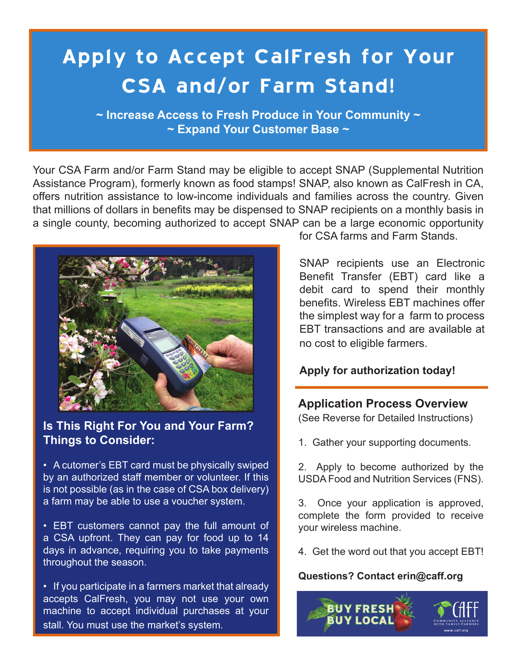# **Apply to Accept CalFresh for Your CSA and/or Farm Stand!**

**~ Increase Access to Fresh Produce in Your Community ~ ~ Expand Your Customer Base ~**

Your CSA Farm and/or Farm Stand may be eligible to accept SNAP (Supplemental Nutrition Assistance Program), formerly known as food stamps! SNAP, also known as CalFresh in CA, offers nutrition assistance to low-income individuals and families across the country. Given that millions of dollars in benefits may be dispensed to SNAP recipients on a monthly basis in a single county, becoming authorized to accept SNAP can be a large economic opportunity



**Is This Right For You and Your Farm? Things to Consider:**

• A cutomer's EBT card must be physically swiped by an authorized staff member or volunteer. If this is not possible (as in the case of CSA box delivery) a farm may be able to use a voucher system.

• EBT customers cannot pay the full amount of a CSA upfront. They can pay for food up to 14 days in advance, requiring you to take payments throughout the season.

• If you participate in a farmers market that already accepts CalFresh, you may not use your own machine to accept individual purchases at your stall. You must use the market's system.

for CSA farms and Farm Stands.

SNAP recipients use an Electronic Benefit Transfer (EBT) card like a debit card to spend their monthly benefits. Wireless EBT machines offer the simplest way for a farm to process EBT transactions and are available at no cost to eligible farmers.

#### **Apply for authorization today!**

#### **Application Process Overview**

(See Reverse for Detailed Instructions)

1. Gather your supporting documents.

2. Apply to become authorized by the USDA Food and Nutrition Services (FNS).

3. Once your application is approved, complete the form provided to receive your wireless machine.

4. Get the word out that you accept EBT!

#### **Questions? Contact erin@caff.org**